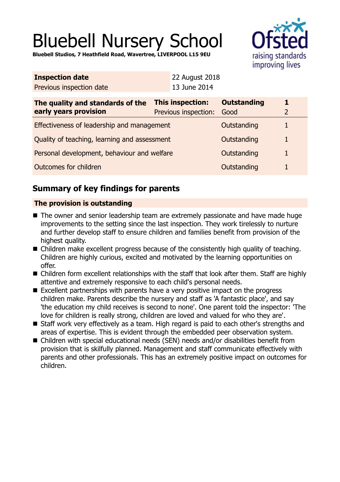# Bluebell Nursery School

**Bluebell Studios, 7 Heathfield Road, Wavertree, LIVERPOOL L15 9EU**



| <b>Inspection date</b>   | <b>22 August 2018</b> |
|--------------------------|-----------------------|
| Previous inspection date | 13 June 2014          |

| The quality and standards of the<br>early years provision | This inspection:<br>Previous inspection: | <b>Outstanding</b><br>Good |  |
|-----------------------------------------------------------|------------------------------------------|----------------------------|--|
| Effectiveness of leadership and management                |                                          | Outstanding                |  |
| Quality of teaching, learning and assessment              |                                          | Outstanding                |  |
| Personal development, behaviour and welfare               |                                          | Outstanding                |  |
| Outcomes for children                                     |                                          | Outstanding                |  |

# **Summary of key findings for parents**

## **The provision is outstanding**

- The owner and senior leadership team are extremely passionate and have made huge improvements to the setting since the last inspection. They work tirelessly to nurture and further develop staff to ensure children and families benefit from provision of the highest quality.
- Children make excellent progress because of the consistently high quality of teaching. Children are highly curious, excited and motivated by the learning opportunities on offer.
- $\blacksquare$  Children form excellent relationships with the staff that look after them. Staff are highly attentive and extremely responsive to each child's personal needs.
- $\blacksquare$  Excellent partnerships with parents have a very positive impact on the progress children make. Parents describe the nursery and staff as 'A fantastic place', and say 'the education my child receives is second to none'. One parent told the inspector: 'The love for children is really strong, children are loved and valued for who they are'.
- Staff work very effectively as a team. High regard is paid to each other's strengths and areas of expertise. This is evident through the embedded peer observation system.
- Children with special educational needs (SEN) needs and/or disabilities benefit from provision that is skilfully planned. Management and staff communicate effectively with parents and other professionals. This has an extremely positive impact on outcomes for children.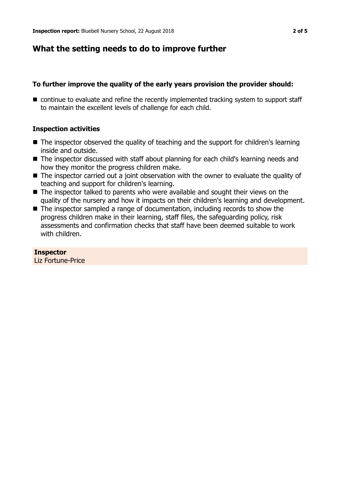## **What the setting needs to do to improve further**

## **To further improve the quality of the early years provision the provider should:**

 $\blacksquare$  continue to evaluate and refine the recently implemented tracking system to support staff to maintain the excellent levels of challenge for each child.

#### **Inspection activities**

- $\blacksquare$  The inspector observed the quality of teaching and the support for children's learning inside and outside.
- $\blacksquare$  The inspector discussed with staff about planning for each child's learning needs and how they monitor the progress children make.
- $\blacksquare$  The inspector carried out a joint observation with the owner to evaluate the quality of teaching and support for children's learning.
- $\blacksquare$  The inspector talked to parents who were available and sought their views on the quality of the nursery and how it impacts on their children's learning and development.
- The inspector sampled a range of documentation, including records to show the progress children make in their learning, staff files, the safeguarding policy, risk assessments and confirmation checks that staff have been deemed suitable to work with children.

#### **Inspector**

Liz Fortune-Price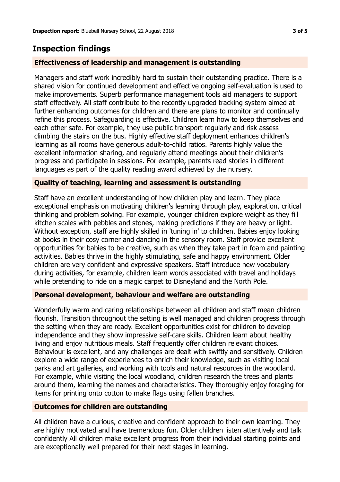## **Inspection findings**

## **Effectiveness of leadership and management is outstanding**

Managers and staff work incredibly hard to sustain their outstanding practice. There is a shared vision for continued development and effective ongoing self-evaluation is used to make improvements. Superb performance management tools aid managers to support staff effectively. All staff contribute to the recently upgraded tracking system aimed at further enhancing outcomes for children and there are plans to monitor and continually refine this process. Safeguarding is effective. Children learn how to keep themselves and each other safe. For example, they use public transport regularly and risk assess climbing the stairs on the bus. Highly effective staff deployment enhances children's learning as all rooms have generous adult-to-child ratios. Parents highly value the excellent information sharing, and regularly attend meetings about their children's progress and participate in sessions. For example, parents read stories in different languages as part of the quality reading award achieved by the nursery.

## **Quality of teaching, learning and assessment is outstanding**

Staff have an excellent understanding of how children play and learn. They place exceptional emphasis on motivating children's learning through play, exploration, critical thinking and problem solving. For example, younger children explore weight as they fill kitchen scales with pebbles and stones, making predictions if they are heavy or light. Without exception, staff are highly skilled in 'tuning in' to children. Babies enjoy looking at books in their cosy corner and dancing in the sensory room. Staff provide excellent opportunities for babies to be creative, such as when they take part in foam and painting activities. Babies thrive in the highly stimulating, safe and happy environment. Older children are very confident and expressive speakers. Staff introduce new vocabulary during activities, for example, children learn words associated with travel and holidays while pretending to ride on a magic carpet to Disneyland and the North Pole.

## **Personal development, behaviour and welfare are outstanding**

Wonderfully warm and caring relationships between all children and staff mean children flourish. Transition throughout the setting is well managed and children progress through the setting when they are ready. Excellent opportunities exist for children to develop independence and they show impressive self-care skills. Children learn about healthy living and enjoy nutritious meals. Staff frequently offer children relevant choices. Behaviour is excellent, and any challenges are dealt with swiftly and sensitively. Children explore a wide range of experiences to enrich their knowledge, such as visiting local parks and art galleries, and working with tools and natural resources in the woodland. For example, while visiting the local woodland, children research the trees and plants around them, learning the names and characteristics. They thoroughly enjoy foraging for items for printing onto cotton to make flags using fallen branches.

## **Outcomes for children are outstanding**

All children have a curious, creative and confident approach to their own learning. They are highly motivated and have tremendous fun. Older children listen attentively and talk confidently All children make excellent progress from their individual starting points and are exceptionally well prepared for their next stages in learning.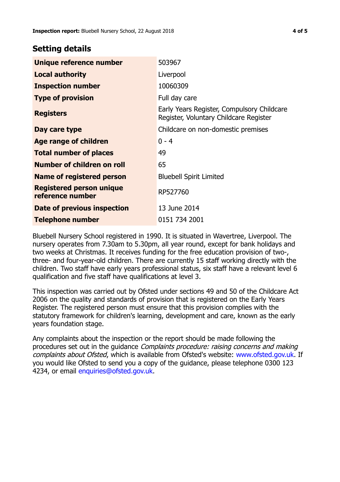## **Setting details**

| Unique reference number                             | 503967                                                                               |
|-----------------------------------------------------|--------------------------------------------------------------------------------------|
| <b>Local authority</b>                              | Liverpool                                                                            |
| <b>Inspection number</b>                            | 10060309                                                                             |
| <b>Type of provision</b>                            | Full day care                                                                        |
| <b>Registers</b>                                    | Early Years Register, Compulsory Childcare<br>Register, Voluntary Childcare Register |
| Day care type                                       | Childcare on non-domestic premises                                                   |
| <b>Age range of children</b>                        | $0 - 4$                                                                              |
| <b>Total number of places</b>                       | 49                                                                                   |
| Number of children on roll                          | 65                                                                                   |
| Name of registered person                           | <b>Bluebell Spirit Limited</b>                                                       |
| <b>Registered person unique</b><br>reference number | RP527760                                                                             |
| Date of previous inspection                         | 13 June 2014                                                                         |
| Telephone number                                    | 0151 734 2001                                                                        |

Bluebell Nursery School registered in 1990. It is situated in Wavertree, Liverpool. The nursery operates from 7.30am to 5.30pm, all year round, except for bank holidays and two weeks at Christmas. It receives funding for the free education provision of two-, three- and four-year-old children. There are currently 15 staff working directly with the children. Two staff have early years professional status, six staff have a relevant level 6 qualification and five staff have qualifications at level 3.

This inspection was carried out by Ofsted under sections 49 and 50 of the Childcare Act 2006 on the quality and standards of provision that is registered on the Early Years Register. The registered person must ensure that this provision complies with the statutory framework for children's learning, development and care, known as the early years foundation stage.

Any complaints about the inspection or the report should be made following the procedures set out in the guidance Complaints procedure: raising concerns and making complaints about Ofsted, which is available from Ofsted's website: www.ofsted.gov.uk. If you would like Ofsted to send you a copy of the guidance, please telephone 0300 123 4234, or email [enquiries@ofsted.gov.uk.](mailto:enquiries@ofsted.gov.uk)